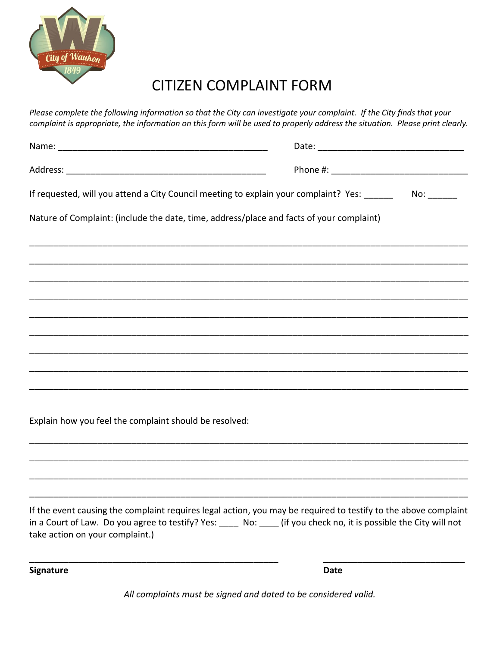

## CITIZEN COMPLAINT FORM

*Please complete the following information so that the City can investigate your complaint. If the City finds that your complaint is appropriate, the information on this form will be used to properly address the situation. Please print clearly.*

| If requested, will you attend a City Council meeting to explain your complaint? Yes: _______ No: ______ |  |
|---------------------------------------------------------------------------------------------------------|--|
| Nature of Complaint: (include the date, time, address/place and facts of your complaint)                |  |
|                                                                                                         |  |
|                                                                                                         |  |
|                                                                                                         |  |
|                                                                                                         |  |
|                                                                                                         |  |
|                                                                                                         |  |
|                                                                                                         |  |
| Explain how you feel the complaint should be resolved:                                                  |  |
|                                                                                                         |  |
|                                                                                                         |  |
|                                                                                                         |  |

If the event causing the complaint requires legal action, you may be required to testify to the above complaint in a Court of Law. Do you agree to testify? Yes: \_\_\_\_ No: \_\_\_\_ (if you check no, it is possible the City will not take action on your complaint.)

**\_\_\_\_\_\_\_\_\_\_\_\_\_\_\_\_\_\_\_\_\_\_\_\_\_\_\_\_\_\_\_\_\_\_\_\_\_\_\_\_\_\_\_\_\_\_\_\_\_\_\_ \_\_\_\_\_\_\_\_\_\_\_\_\_\_\_\_\_\_\_\_\_\_\_\_\_\_\_\_\_**

**Signature Date**

*All complaints must be signed and dated to be considered valid.*